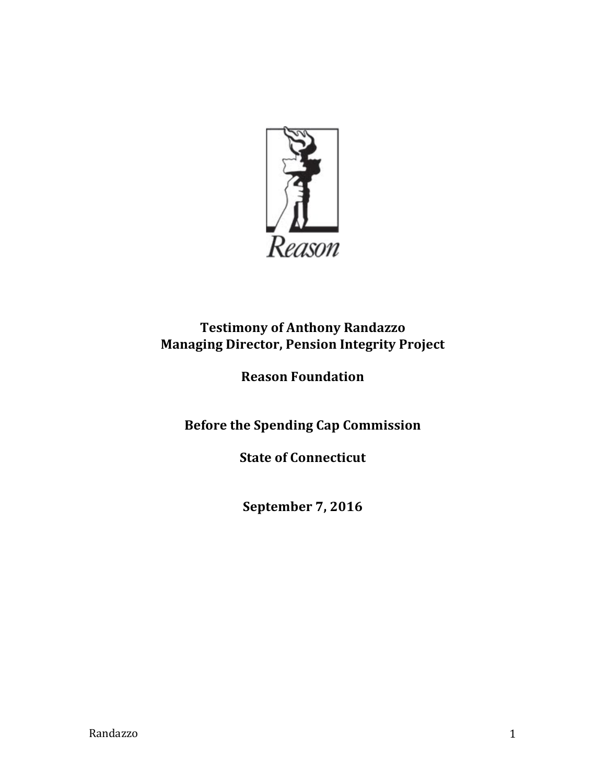

# **Testimony of Anthony Randazzo Managing Director, Pension Integrity Project**

# **Reason Foundation**

**Before the Spending Cap Commission** 

**State of Connecticut** 

**September 7, 2016**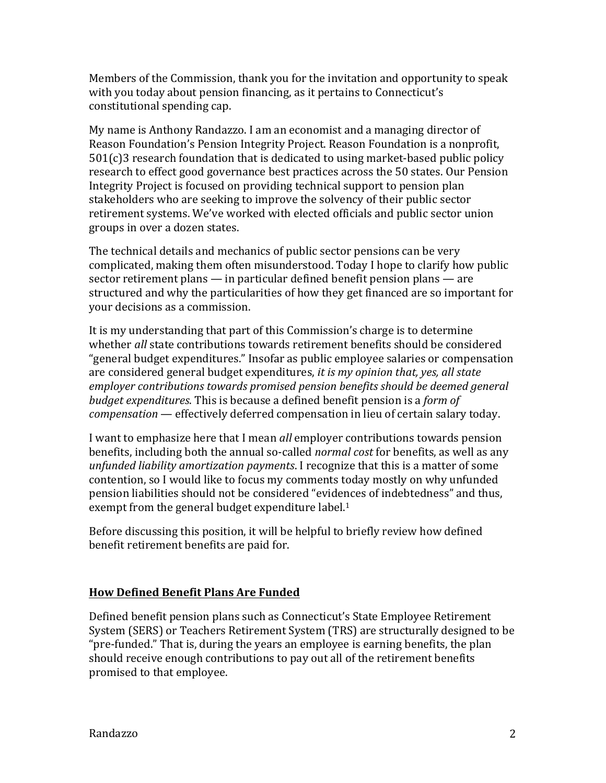Members of the Commission, thank you for the invitation and opportunity to speak with you today about pension financing, as it pertains to Connecticut's constitutional spending cap.

My name is Anthony Randazzo. I am an economist and a managing director of Reason Foundation's Pension Integrity Project. Reason Foundation is a nonprofit,  $501(c)$ 3 research foundation that is dedicated to using market-based public policy research to effect good governance best practices across the 50 states. Our Pension Integrity Project is focused on providing technical support to pension plan stakeholders who are seeking to improve the solvency of their public sector retirement systems. We've worked with elected officials and public sector union groups in over a dozen states.

The technical details and mechanics of public sector pensions can be very complicated, making them often misunderstood. Today I hope to clarify how public sector retirement plans  $-$  in particular defined benefit pension plans  $-$  are structured and why the particularities of how they get financed are so important for your decisions as a commission.

It is my understanding that part of this Commission's charge is to determine whether *all* state contributions towards retirement benefits should be considered "general budget expenditures." Insofar as public employee salaries or compensation are considered general budget expenditures, *it is my opinion that, yes, all state employer contributions towards promised pension benefits should be deemed general budget expenditures*. This is because a defined benefit pension is a *form of compensation* — effectively deferred compensation in lieu of certain salary today.

I want to emphasize here that I mean *all* employer contributions towards pension benefits, including both the annual so-called *normal cost* for benefits, as well as any *unfunded liability amortization payments*. I recognize that this is a matter of some contention, so I would like to focus my comments today mostly on why unfunded pension liabilities should not be considered "evidences of indebtedness" and thus, exempt from the general budget expenditure label. $1$ 

Before discussing this position, it will be helpful to briefly review how defined benefit retirement benefits are paid for.

## **How Defined Benefit Plans Are Funded**

Defined benefit pension plans such as Connecticut's State Employee Retirement System (SERS) or Teachers Retirement System (TRS) are structurally designed to be "pre-funded." That is, during the years an employee is earning benefits, the plan should receive enough contributions to pay out all of the retirement benefits promised to that employee.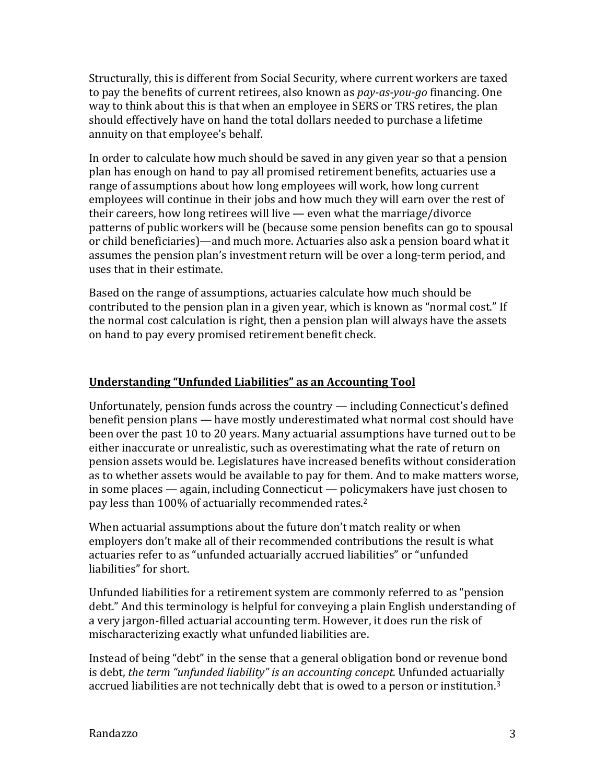Structurally, this is different from Social Security, where current workers are taxed to pay the benefits of current retirees, also known as *pay-as-you-go* financing. One way to think about this is that when an employee in SERS or TRS retires, the plan should effectively have on hand the total dollars needed to purchase a lifetime annuity on that employee's behalf.

In order to calculate how much should be saved in any given year so that a pension plan has enough on hand to pay all promised retirement benefits, actuaries use a range of assumptions about how long employees will work, how long current employees will continue in their jobs and how much they will earn over the rest of their careers, how long retirees will live  $-$  even what the marriage/divorce patterns of public workers will be (because some pension benefits can go to spousal or child beneficiaries)—and much more. Actuaries also ask a pension board what it assumes the pension plan's investment return will be over a long-term period, and uses that in their estimate.

Based on the range of assumptions, actuaries calculate how much should be contributed to the pension plan in a given year, which is known as "normal cost." If the normal cost calculation is right, then a pension plan will always have the assets on hand to pay every promised retirement benefit check.

### Understanding "Unfunded Liabilities" as an Accounting Tool

Unfortunately, pension funds across the country  $-$  including Connecticut's defined benefit pension plans — have mostly underestimated what normal cost should have been over the past 10 to 20 years. Many actuarial assumptions have turned out to be either inaccurate or unrealistic, such as overestimating what the rate of return on pension assets would be. Legislatures have increased benefits without consideration as to whether assets would be available to pay for them. And to make matters worse, in some places  $-$  again, including Connecticut  $-$  policymakers have just chosen to pay less than 100% of actuarially recommended rates.<sup>2</sup>

When actuarial assumptions about the future don't match reality or when employers don't make all of their recommended contributions the result is what actuaries refer to as "unfunded actuarially accrued liabilities" or "unfunded liabilities" for short.

Unfunded liabilities for a retirement system are commonly referred to as "pension debt." And this terminology is helpful for conveying a plain English understanding of a very jargon-filled actuarial accounting term. However, it does run the risk of mischaracterizing exactly what unfunded liabilities are.

Instead of being "debt" in the sense that a general obligation bond or revenue bond is debt, *the term "unfunded liability" is an accounting concept*. Unfunded actuarially accrued liabilities are not technically debt that is owed to a person or institution.<sup>3</sup>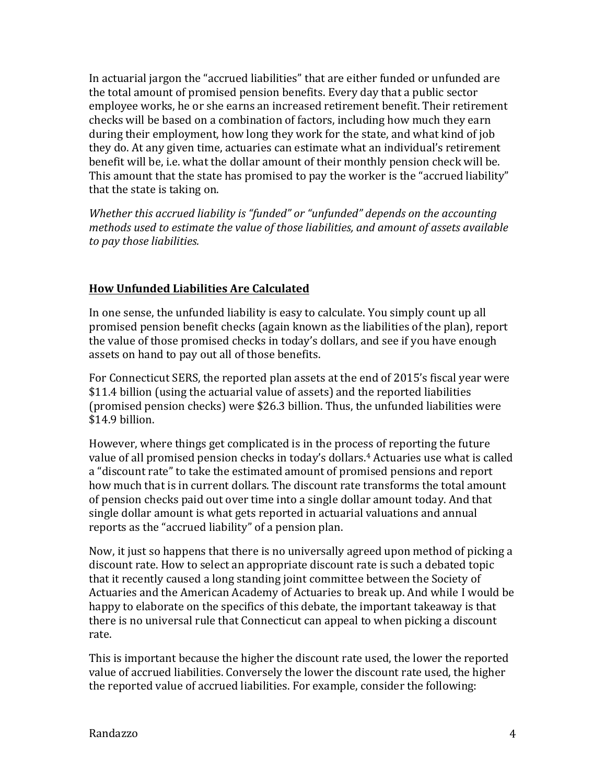In actuarial jargon the "accrued liabilities" that are either funded or unfunded are the total amount of promised pension benefits. Every day that a public sector employee works, he or she earns an increased retirement benefit. Their retirement checks will be based on a combination of factors, including how much they earn during their employment, how long they work for the state, and what kind of job they do. At any given time, actuaries can estimate what an individual's retirement benefit will be, i.e. what the dollar amount of their monthly pension check will be. This amount that the state has promised to pay the worker is the "accrued liability" that the state is taking on.

*Whether this accrued liability is "funded" or "unfunded" depends on the accounting methods* used to estimate the value of those liabilities, and amount of assets available *to pay those liabilities.*

## **How Unfunded Liabilities Are Calculated**

In one sense, the unfunded liability is easy to calculate. You simply count up all promised pension benefit checks (again known as the liabilities of the plan), report the value of those promised checks in today's dollars, and see if you have enough assets on hand to pay out all of those benefits.

For Connecticut SERS, the reported plan assets at the end of 2015's fiscal year were \$11.4 billion (using the actuarial value of assets) and the reported liabilities (promised pension checks) were \$26.3 billion. Thus, the unfunded liabilities were \$14.9 billion.

However, where things get complicated is in the process of reporting the future value of all promised pension checks in today's dollars.<sup>4</sup> Actuaries use what is called a "discount rate" to take the estimated amount of promised pensions and report how much that is in current dollars. The discount rate transforms the total amount of pension checks paid out over time into a single dollar amount today. And that single dollar amount is what gets reported in actuarial valuations and annual reports as the "accrued liability" of a pension plan.

Now, it just so happens that there is no universally agreed upon method of picking a discount rate. How to select an appropriate discount rate is such a debated topic that it recently caused a long standing joint committee between the Society of Actuaries and the American Academy of Actuaries to break up. And while I would be happy to elaborate on the specifics of this debate, the important takeaway is that there is no universal rule that Connecticut can appeal to when picking a discount rate.

This is important because the higher the discount rate used, the lower the reported value of accrued liabilities. Conversely the lower the discount rate used, the higher the reported value of accrued liabilities. For example, consider the following: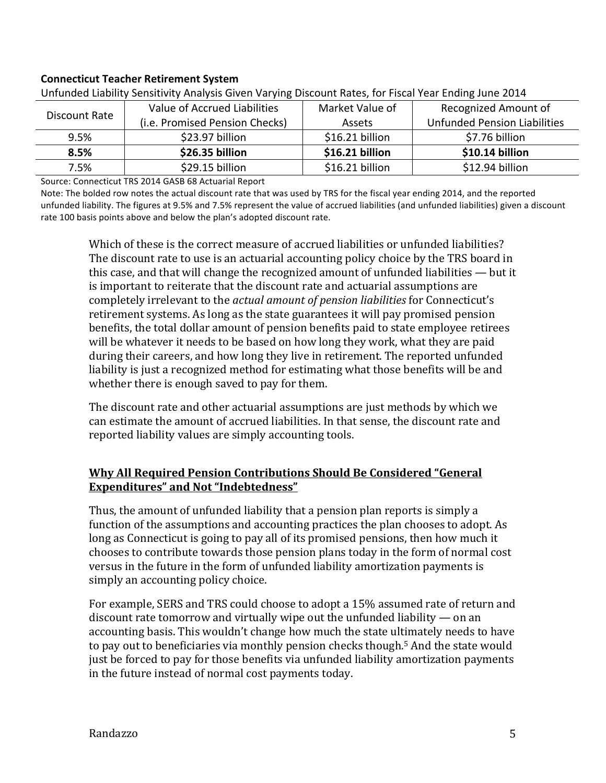#### **Connecticut Teacher Retirement System**

| <b>Official Classified Scholarly Amaryolo Orvert variting Discount nates, for Fiscal Team Ending June 201</b> 7 |                                |                 |                                     |
|-----------------------------------------------------------------------------------------------------------------|--------------------------------|-----------------|-------------------------------------|
| Discount Rate                                                                                                   | Value of Accrued Liabilities   | Market Value of | Recognized Amount of                |
|                                                                                                                 | (i.e. Promised Pension Checks) | <b>Assets</b>   | <b>Unfunded Pension Liabilities</b> |
| 9.5%                                                                                                            | \$23.97 billion                | \$16.21 billion | \$7.76 billion                      |
| 8.5%                                                                                                            | \$26.35 billion                | \$16.21 billion | \$10.14 billion                     |
| 7.5%                                                                                                            | \$29.15 billion                | \$16.21 billion | \$12.94 billion                     |

Unfunded Liability Sensitivity Analysis Given Varying Discount Rates, for Fiscal Year Ending June 2014

Source: Connecticut TRS 2014 GASB 68 Actuarial Report

Note: The bolded row notes the actual discount rate that was used by TRS for the fiscal year ending 2014, and the reported unfunded liability. The figures at 9.5% and 7.5% represent the value of accrued liabilities (and unfunded liabilities) given a discount rate 100 basis points above and below the plan's adopted discount rate.

Which of these is the correct measure of accrued liabilities or unfunded liabilities? The discount rate to use is an actuarial accounting policy choice by the TRS board in this case, and that will change the recognized amount of unfunded liabilities  $-$  but it is important to reiterate that the discount rate and actuarial assumptions are completely irrelevant to the *actual amount of pension liabilities* for Connecticut's retirement systems. As long as the state guarantees it will pay promised pension benefits, the total dollar amount of pension benefits paid to state employee retirees will be whatever it needs to be based on how long they work, what they are paid during their careers, and how long they live in retirement. The reported unfunded liability is just a recognized method for estimating what those benefits will be and whether there is enough saved to pay for them.

The discount rate and other actuarial assumptions are just methods by which we can estimate the amount of accrued liabilities. In that sense, the discount rate and reported liability values are simply accounting tools.

#### **Why All Required Pension Contributions Should Be Considered "General Expenditures**" and Not "Indebtedness"

Thus, the amount of unfunded liability that a pension plan reports is simply a function of the assumptions and accounting practices the plan chooses to adopt. As long as Connecticut is going to pay all of its promised pensions, then how much it chooses to contribute towards those pension plans today in the form of normal cost versus in the future in the form of unfunded liability amortization payments is simply an accounting policy choice.

For example, SERS and TRS could choose to adopt a 15% assumed rate of return and discount rate tomorrow and virtually wipe out the unfunded liability  $-$  on an accounting basis. This wouldn't change how much the state ultimately needs to have to pay out to beneficiaries via monthly pension checks though.<sup>5</sup> And the state would just be forced to pay for those benefits via unfunded liability amortization payments in the future instead of normal cost payments today.